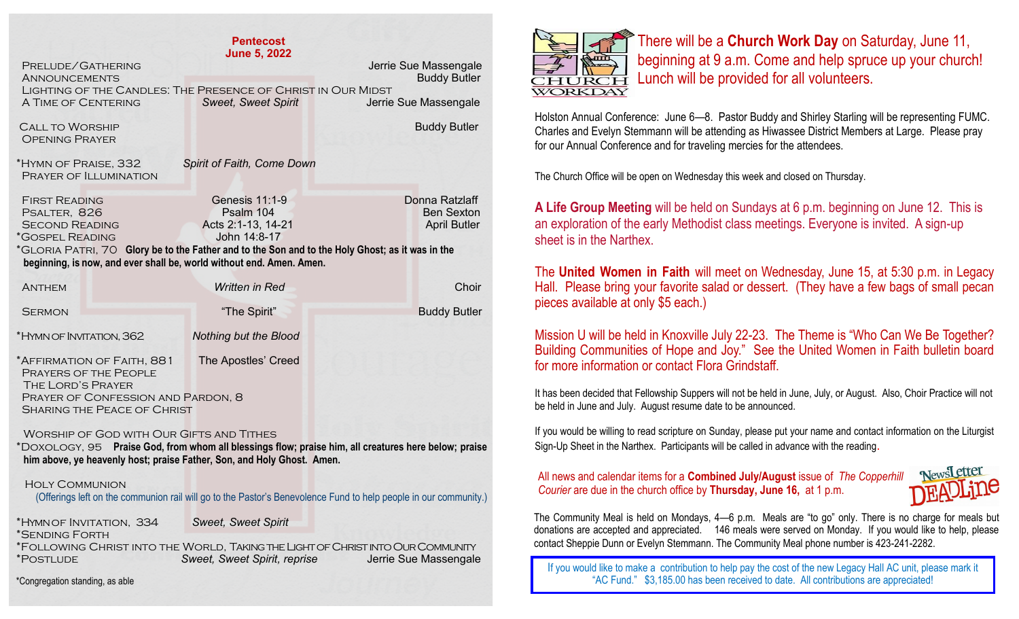| <b>Pentecost</b><br><b>June 5, 2022</b>                                                                                                                                                                                    |                                                                     |                                                            |
|----------------------------------------------------------------------------------------------------------------------------------------------------------------------------------------------------------------------------|---------------------------------------------------------------------|------------------------------------------------------------|
| PRELUDE/GATHERING<br><b>ANNOUNCEMENTS</b><br>LIGHTING OF THE CANDLES: THE PRESENCE OF CHRIST IN OUR MIDST                                                                                                                  |                                                                     | Jerrie Sue Massengale<br><b>Buddy Butler</b>               |
| A TIME OF CENTERING                                                                                                                                                                                                        | <b>Sweet, Sweet Spirit</b>                                          | Jerrie Sue Massengale                                      |
| <b>CALL TO WORSHIP</b><br><b>OPENING PRAYER</b>                                                                                                                                                                            |                                                                     | <b>Buddy Butler</b>                                        |
| *HYMN OF PRAISE, 332<br>PRAYER OF ILLUMINATION                                                                                                                                                                             | Spirit of Faith, Come Down                                          |                                                            |
| <b>FIRST READING</b><br>PSALTER, 826<br><b>SECOND READING</b><br>*GOSPEL READING                                                                                                                                           | Genesis $11:1-9$<br>Psalm 104<br>Acts 2:1-13, 14-21<br>John 14:8-17 | Donna Ratzlaff<br><b>Ben Sexton</b><br><b>April Butler</b> |
| *GLORIA PATRI, 70 Glory be to the Father and to the Son and to the Holy Ghost; as it was in the<br>beginning, is now, and ever shall be, world without end. Amen. Amen.                                                    |                                                                     |                                                            |
| <b>ANTHEM</b>                                                                                                                                                                                                              | <b>Written in Red</b>                                               | Choir                                                      |
| <b>SERMON</b>                                                                                                                                                                                                              | "The Spirit"                                                        | <b>Buddy Butler</b>                                        |
| *HYMN OF INVITATION, 362                                                                                                                                                                                                   | Nothing but the Blood                                               |                                                            |
| *AFFIRMATION OF FAITH, 881<br>PRAYERS OF THE PEOPLE<br>THE LORD'S PRAYER<br>PRAYER OF CONFESSION AND PARDON, 8<br><b>SHARING THE PEACE OF CHRIST</b>                                                                       | The Apostles' Creed                                                 |                                                            |
| WORSHIP OF GOD WITH OUR GIFTS AND TITHES<br>*DOXOLOGY, 95 Praise God, from whom all blessings flow; praise him, all creatures here below; praise<br>him above, ye heavenly host; praise Father, Son, and Holy Ghost. Amen. |                                                                     |                                                            |
| <b>HOLY COMMUNION</b><br>(Offerings left on the communion rail will go to the Pastor's Benevolence Fund to help people in our community.)                                                                                  |                                                                     |                                                            |

\*Hymn of Invitation, 334 *Sweet, Sweet Spirit* \*Sending Forth \*Following Christ into the World, Taking the Light of Christ into Our Community \*Postlude *Sweet, Sweet Spirit, reprise* Jerrie Sue Massengale

\*Congregation standing, as able



There will be a **Church Work Day** on Saturday, June 11, beginning at 9 a.m. Come and help spruce up your church! Lunch will be provided for all volunteers.

Holston Annual Conference: June 6—8. Pastor Buddy and Shirley Starling will be representing FUMC. Charles and Evelyn Stemmann will be attending as Hiwassee District Members at Large. Please pray for our Annual Conference and for traveling mercies for the attendees.

The Church Office will be open on Wednesday this week and closed on Thursday.

**A Life Group Meeting** will be held on Sundays at 6 p.m. beginning on June 12. This is an exploration of the early Methodist class meetings. Everyone is invited. A sign-up sheet is in the Narthex.

The **United Women in Faith** will meet on Wednesday, June 15, at 5:30 p.m. in Legacy Hall. Please bring your favorite salad or dessert. (They have a few bags of small pecan pieces available at only \$5 each.)

Mission U will be held in Knoxville July 22-23. The Theme is "Who Can We Be Together? Building Communities of Hope and Joy." See the United Women in Faith bulletin board for more information or contact Flora Grindstaff.

It has been decided that Fellowship Suppers will not be held in June, July, or August. Also, Choir Practice will not be held in June and July. August resume date to be announced.

If you would be willing to read scripture on Sunday, please put your name and contact information on the Liturgist Sign-Up Sheet in the Narthex. Participants will be called in advance with the reading.

## All news and calendar items for a **Combined July/August** issue of *The Copperhill Courier* are due in the church office by **Thursday, June 16,** at 1 p.m.



The Community Meal is held on Mondays, 4—6 p.m. Meals are "to go" only. There is no charge for meals but donations are accepted and appreciated. 146 meals were served on Monday. If you would like to help, please contact Sheppie Dunn or Evelyn Stemmann. The Community Meal phone number is 423-241-2282.

If you would like to make a contribution to help pay the cost of the new Legacy Hall AC unit, please mark it "AC Fund." \$3,185.00 has been received to date. All contributions are appreciated!